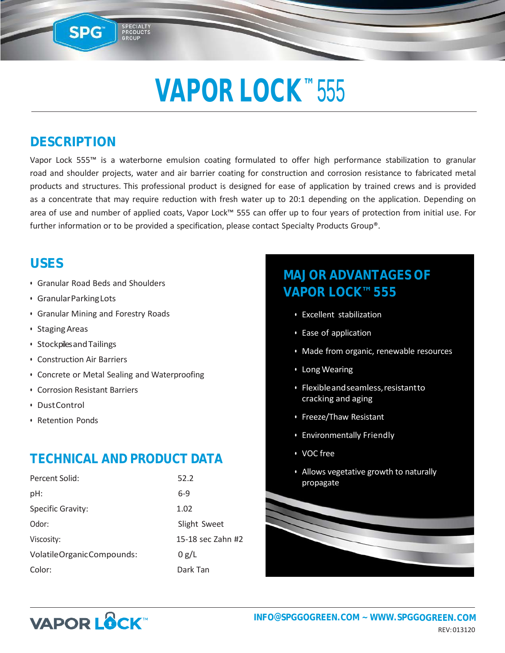## VAPOR LOCK<sup>™</sup> 555

### **DESCRIPTION**

SPG

PRODUCTS

Vapor Lock 555™ is a waterborne emulsion coating formulated to offer high performance stabilization to granular road and shoulder projects, water and air barrier coating for construction and corrosion resistance to fabricated metal products and structures. This professional product is designed for ease of application by trained crews and is provided as a concentrate that may require reduction with fresh water up to 20:1 depending on the application. Depending on area of use and number of applied coats, Vapor Lock™ 555 can offer up to four years of protection from initial use. For further information or to be provided a specification, please contact Specialty Products Group®.

### **USES**

- Granular Road Beds and Shoulders
- GranularParkingLots
- Granular Mining and Forestry Roads
- StagingAreas
- StockpilesandTailings
- Construction Air Barriers
- Concrete or Metal Sealing and Waterproofing
- Corrosion Resistant Barriers
- DustControl
- Retention Ponds

### **TECHNICAL AND PRODUCT DATA**

| Percent Solid:            | 52.2              |
|---------------------------|-------------------|
| pH:                       | $6-9$             |
| Specific Gravity:         | 1.02              |
| Odor:                     | Slight Sweet      |
| Viscosity:                | 15-18 sec Zahn #2 |
| VolatileOrganicCompounds: | 0 g/L             |
| Color:                    | Dark Tan          |

### **MAJOR ADVANTAGES OF VAPOR LOCK™ 555**

- Excellent stabilization
- Ease of application
- Made from organic, renewable resources
- LongWearing
- Flexibleandseamless,resistantto cracking and aging
- Freeze/Thaw Resistant
- Environmentally Friendly
- VOC free
- Allows vegetative growth to naturally propagate